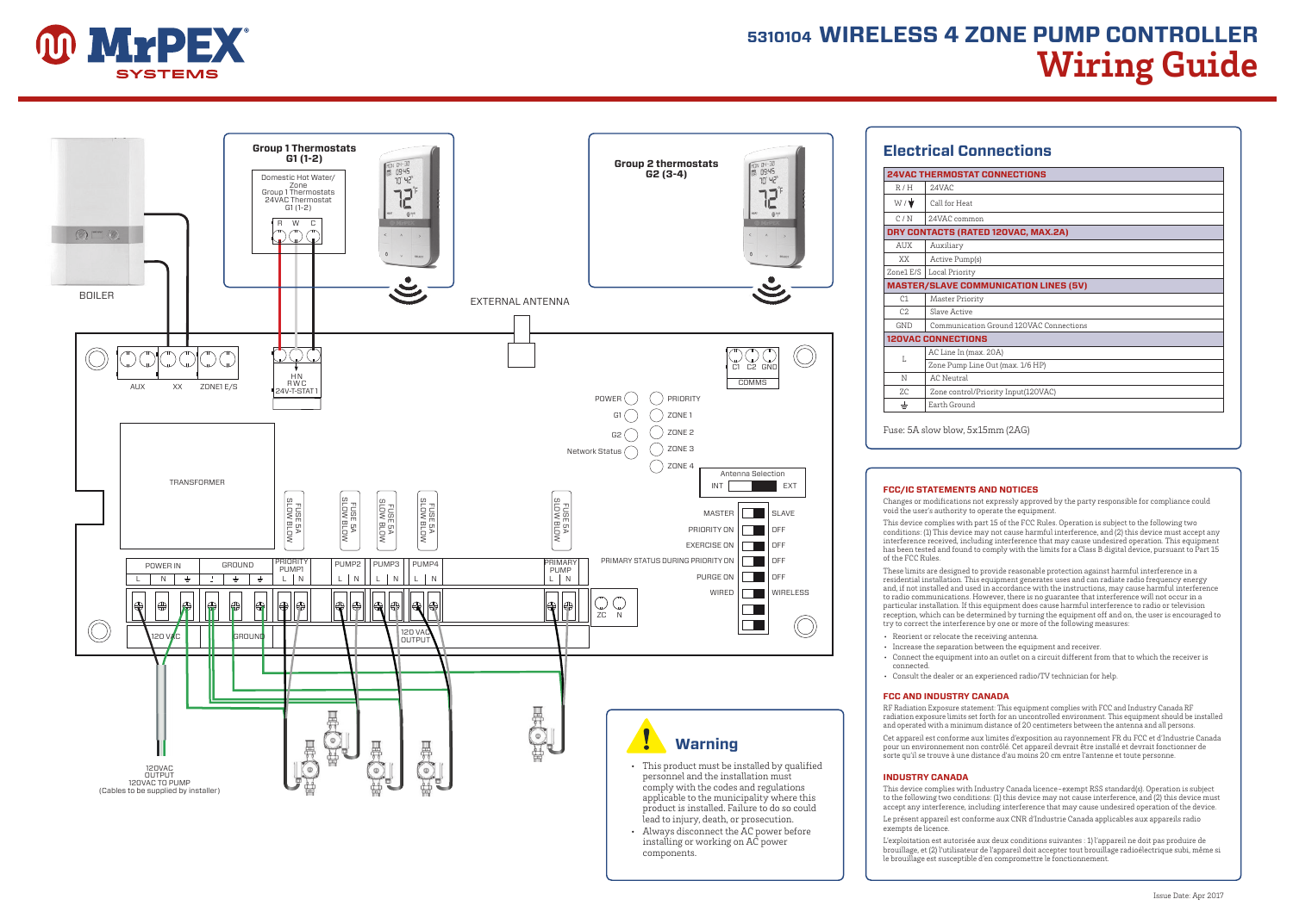

# **5310104 WIRELESS 4 ZONE PUMP CONTROLLER Wiring Guide**



## **Electrical Connections 24VAC THERMOSTAT CONNECTIONS**   $R/H$  24VAC  $W / \sqrt{\frac{1}{2}}$  Call for Heat C / N 24VAC common **DRY CONTACTS (RATED 120VAC, MAX.2A)**  AUX Auxiliary XX Active Pump(s) Zone1 E/S Local Priority **MASTER/SLAVE COMMUNICATION LINES (5V)**  C1 Master Priority C<sub>2</sub> Slave Active GND Communication Ground 120VAC Connections **120VAC CONNECTIONS** LAC Line In (max. 20A) Zone Pump Line Out (max. 1/6 HP) N AC Neutral ZC Zone control/Priority Input(120VAC)  $\pm$ Earth Ground

Fuse: 5A slow blow, 5x15mm (2AG)

#### **FCC/IC STATEMENTS AND NOTICES**

Changes or modifications not expressly approved by the party responsible for compliance could void the user's authority to operate the equipment.

This device complies with part 15 of the FCC Rules. Operation is subject to the following two conditions: (1) This device may not cause harmful interference, and (2) this device must accept any interference received, including interference that may cause undesired operation. This equipment has been tested and found to comply with the limits for a Class B digital device, pursuant to Part 15 of the FCC Rules.

These limits are designed to provide reasonable protection against harmful interference in a residential installation. This equipment generates uses and can radiate radio frequency energy and, if not installed and used in accordance with the instructions, may cause harmful interference to radio communications. However, there is no guarantee that interference will not occur in a particular installation. If this equipment does cause harmful interference to radio or television reception, which can be determined by turning the equipment off and on, the user is encouraged to try to correct the interference by one or more of the following measures:

- Reorient or relocate the receiving antenna.
- Increase the separation between the equipment and receiver.
- Connect the equipment into an outlet on a circuit different from that to which the receiver is connected.
- Consult the dealer or an experienced radio/TV technician for help.

#### **FCC AND INDUSTRY CANADA**

RF Radiation Exposure statement: This equipment complies with FCC and Industry Canada RF radiation exposure limits set forth for an uncontrolled environment. This equipment should be installed and operated with a minimum distance of 20 centimeters between the antenna and all persons.

Cet appareil est conforme aux limites d'exposition au rayonnement FR du FCC et d'Industrie Canada pour un environnement non contrôlé. Cet appareil devrait être installé et devrait fonctionner de sorte qu'il se trouve à une distance d'au moins 20 cm entre l'antenne et toute personne.

#### **INDUSTRY CANADA**

installing or working on AC power

components.

This device complies with Industry Canada licence-exempt RSS standard(s). Operation is subject to the following two conditions: (1) this device may not cause interference, and (2) this device must accept any interference, including interference that may cause undesired operation of the device.

Le présent appareil est conforme aux CNR d'Industrie Canada applicables aux appareils radio exempts de licence.

L'exploitation est autorisée aux deux conditions suivantes : 1) l'appareil ne doit pas produire de brouillage, et (2) l'utilisateur de l'appareil doit accepter tout brouillage radioélectrique subi, même si le brouillage est susceptible d'en compromettre le fonctionnement.